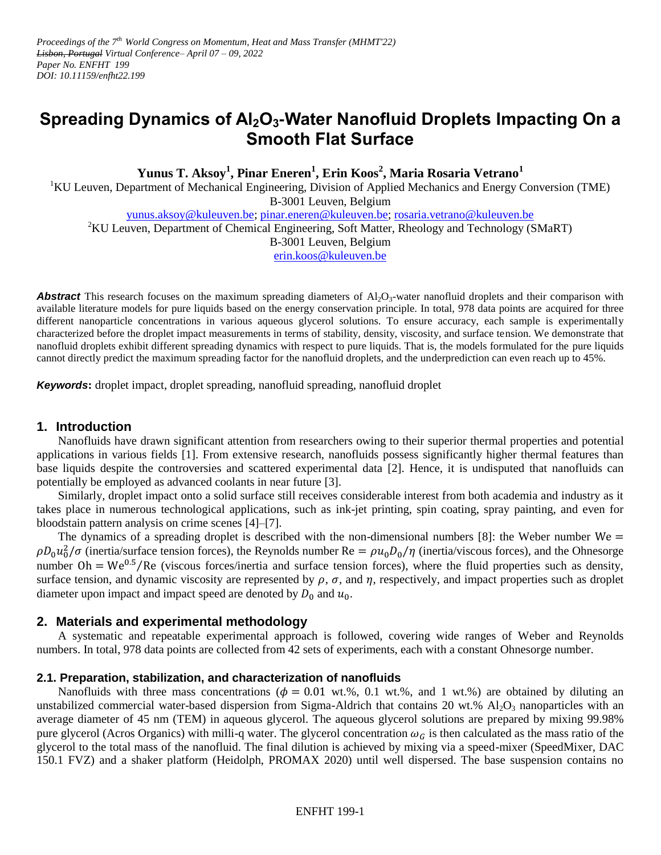*Proceedings of the 7th World Congress on Momentum, Heat and Mass Transfer (MHMT'22) Lisbon, Portugal Virtual Conference– April 07 – 09, 2022 Paper No. ENFHT 199 DOI: 10.11159/enfht22.199*

# **Spreading Dynamics of Al2O3-Water Nanofluid Droplets Impacting On a Smooth Flat Surface**

**Yunus T. Aksoy<sup>1</sup> , Pinar Eneren<sup>1</sup> , Erin Koos<sup>2</sup> , Maria Rosaria Vetrano<sup>1</sup>**

<sup>1</sup>KU Leuven, Department of Mechanical Engineering, Division of Applied Mechanics and Energy Conversion (TME) B-3001 Leuven, Belgium

[yunus.aksoy@kuleuven.be;](mailto:yunus.aksoy@kuleuven.be) [pinar.eneren@kuleuven.be;](mailto:pinar.eneren@kuleuven.be) [rosaria.vetrano@kuleuven.be](mailto:rosaria.vetrano@kuleuven.be)

<sup>2</sup>KU Leuven, Department of Chemical Engineering, Soft Matter, Rheology and Technology (SMaRT)

B-3001 Leuven, Belgium

[erin.koos@kuleuven.be](mailto:erin.koos@kuleuven.be)

**Abstract** This research focuses on the maximum spreading diameters of Al<sub>2</sub>O<sub>3</sub>-water nanofluid droplets and their comparison with available literature models for pure liquids based on the energy conservation principle. In total, 978 data points are acquired for three different nanoparticle concentrations in various aqueous glycerol solutions. To ensure accuracy, each sample is experimentally characterized before the droplet impact measurements in terms of stability, density, viscosity, and surface tension. We demonstrate that nanofluid droplets exhibit different spreading dynamics with respect to pure liquids. That is, the models formulated for the pure liquids cannot directly predict the maximum spreading factor for the nanofluid droplets, and the underprediction can even reach up to 45%.

*Keywords***:** droplet impact, droplet spreading, nanofluid spreading, nanofluid droplet

# **1. Introduction**

Nanofluids have drawn significant attention from researchers owing to their superior thermal properties and potential applications in various fields [1]. From extensive research, nanofluids possess significantly higher thermal features than base liquids despite the controversies and scattered experimental data [2]. Hence, it is undisputed that nanofluids can potentially be employed as advanced coolants in near future [3].

Similarly, droplet impact onto a solid surface still receives considerable interest from both academia and industry as it takes place in numerous technological applications, such as ink-jet printing, spin coating, spray painting, and even for bloodstain pattern analysis on crime scenes [4]–[7].

The dynamics of a spreading droplet is described with the non-dimensional numbers [8]: the Weber number  $We =$  $\rho D_0 u_0^2/\sigma$  (inertia/surface tension forces), the Reynolds number Re =  $\rho u_0 D_0/\eta$  (inertia/viscous forces), and the Ohnesorge number Oh = We<sup>0.5</sup>/Re (viscous forces/inertia and surface tension forces), where the fluid properties such as density, surface tension, and dynamic viscosity are represented by  $\rho$ ,  $\sigma$ , and  $\eta$ , respectively, and impact properties such as droplet diameter upon impact and impact speed are denoted by  $D_0$  and  $u_0$ .

## **2. Materials and experimental methodology**

A systematic and repeatable experimental approach is followed, covering wide ranges of Weber and Reynolds numbers. In total, 978 data points are collected from 42 sets of experiments, each with a constant Ohnesorge number.

## **2.1. Preparation, stabilization, and characterization of nanofluids**

Nanofluids with three mass concentrations ( $\phi = 0.01$  wt.%, 0.1 wt.%, and 1 wt.%) are obtained by diluting an unstabilized commercial water-based dispersion from Sigma-Aldrich that contains 20 wt.%  $Al_2O_3$  nanoparticles with an average diameter of 45 nm (TEM) in aqueous glycerol. The aqueous glycerol solutions are prepared by mixing 99.98% pure glycerol (Acros Organics) with milli-q water. The glycerol concentration  $\omega_c$  is then calculated as the mass ratio of the glycerol to the total mass of the nanofluid. The final dilution is achieved by mixing via a speed-mixer (SpeedMixer, DAC 150.1 FVZ) and a shaker platform (Heidolph, PROMAX 2020) until well dispersed. The base suspension contains no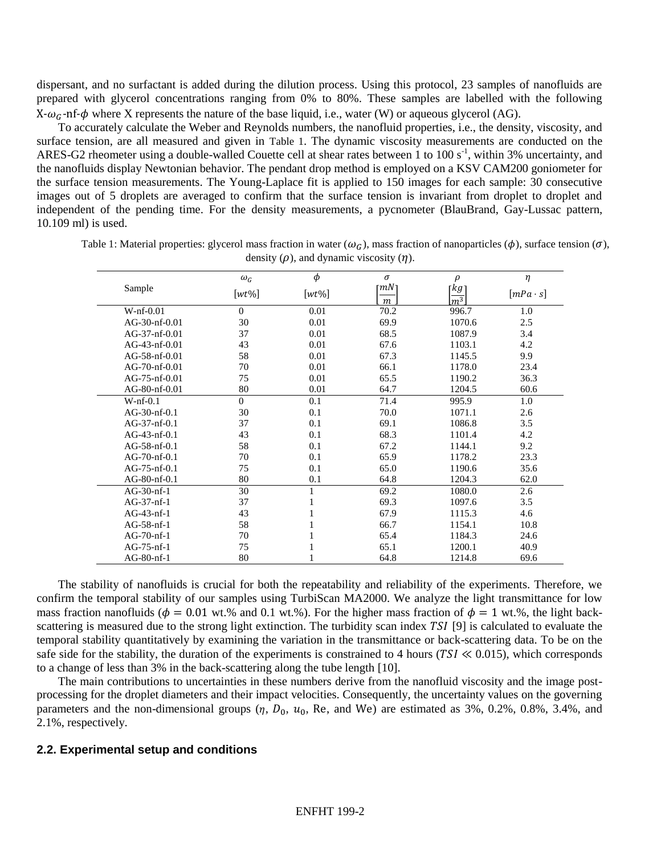dispersant, and no surfactant is added during the dilution process. Using this protocol, 23 samples of nanofluids are prepared with glycerol concentrations ranging from 0% to 80%. These samples are labelled with the following  $X-\omega_G$ -nf- $\phi$  where X represents the nature of the base liquid, i.e., water (W) or aqueous glycerol (AG).

To accurately calculate the Weber and Reynolds numbers, the nanofluid properties, i.e., the density, viscosity, and surface tension, are all measured and given in [Table 1](#page-1-0). The dynamic viscosity measurements are conducted on the ARES-G2 rheometer using a double-walled Couette cell at shear rates between 1 to 100 s<sup>-1</sup>, within 3% uncertainty, and the nanofluids display Newtonian behavior. The pendant drop method is employed on a KSV CAM200 goniometer for the surface tension measurements. The Young-Laplace fit is applied to 150 images for each sample: 30 consecutive images out of 5 droplets are averaged to confirm that the surface tension is invariant from droplet to droplet and independent of the pending time. For the density measurements, a pycnometer (BlauBrand, Gay-Lussac pattern, 10.109 ml) is used.

|                 | $\omega_G$     | $\phi$   | $\sigma$                | $\rho$                                 | $\eta$          |
|-----------------|----------------|----------|-------------------------|----------------------------------------|-----------------|
| Sample          | $[wt\%]$       | $[wt\%]$ | $\lceil mN \rceil$<br>m | $\lceil kg \rceil$<br>$\overline{m^3}$ | $[mPa \cdot s]$ |
| $W\n-nf-0.01$   | $\Omega$       | 0.01     | 70.2                    | 996.7                                  | 1.0             |
| AG-30-nf-0.01   | 30             | 0.01     | 69.9                    | 1070.6                                 | 2.5             |
| AG-37-nf-0.01   | 37             | 0.01     | 68.5                    | 1087.9                                 | 3.4             |
| $AG-43-nf-0.01$ | 43             | 0.01     | 67.6                    | 1103.1                                 | 4.2             |
| AG-58-nf-0.01   | 58             | 0.01     | 67.3                    | 1145.5                                 | 9.9             |
| $AG-70-nf-0.01$ | 70             | 0.01     | 66.1                    | 1178.0                                 | 23.4            |
| $AG-75-nf-0.01$ | 75             | 0.01     | 65.5                    | 1190.2                                 | 36.3            |
| AG-80-nf-0.01   | 80             | 0.01     | 64.7                    | 1204.5                                 | 60.6            |
| $W-nf-0.1$      | $\overline{0}$ | 0.1      | 71.4                    | 995.9                                  | 1.0             |
| AG-30-nf-0.1    | 30             | 0.1      | 70.0                    | 1071.1                                 | 2.6             |
| $AG-37-nf-0.1$  | 37             | 0.1      | 69.1                    | 1086.8                                 | 3.5             |
| $AG-43-nf-0.1$  | 43             | 0.1      | 68.3                    | 1101.4                                 | 4.2             |
| $AG-58-nf-0.1$  | 58             | 0.1      | 67.2                    | 1144.1                                 | 9.2             |
| $AG-70-nf-0.1$  | 70             | 0.1      | 65.9                    | 1178.2                                 | 23.3            |
| $AG-75-nf-0.1$  | 75             | 0.1      | 65.0                    | 1190.6                                 | 35.6            |
| AG-80-nf-0.1    | 80             | 0.1      | 64.8                    | 1204.3                                 | 62.0            |
| $AG-30-nf-1$    | 30             | 1        | 69.2                    | 1080.0                                 | 2.6             |
| $AG-37-nf-1$    | 37             |          | 69.3                    | 1097.6                                 | 3.5             |
| $AG-43-nf-1$    | 43             |          | 67.9                    | 1115.3                                 | 4.6             |
| $AG-58-nf-1$    | 58             |          | 66.7                    | 1154.1                                 | 10.8            |
| AG-70-nf-1      | 70             |          | 65.4                    | 1184.3                                 | 24.6            |
| $AG-75-nf-1$    | 75             |          | 65.1                    | 1200.1                                 | 40.9            |
| $AG-80-nf-1$    | 80             |          | 64.8                    | 1214.8                                 | 69.6            |

<span id="page-1-0"></span>Table 1: Material properties: glycerol mass fraction in water  $(\omega_G)$ , mass fraction of nanoparticles  $(\phi)$ , surface tension  $(\sigma)$ , density  $(\rho)$ , and dynamic viscosity  $(\eta)$ .

The stability of nanofluids is crucial for both the repeatability and reliability of the experiments. Therefore, we confirm the temporal stability of our samples using TurbiScan MA2000. We analyze the light transmittance for low mass fraction nanofluids ( $\phi = 0.01$  wt.% and 0.1 wt.%). For the higher mass fraction of  $\phi = 1$  wt.%, the light backscattering is measured due to the strong light extinction. The turbidity scan index TSI [9] is calculated to evaluate the temporal stability quantitatively by examining the variation in the transmittance or back-scattering data. To be on the safe side for the stability, the duration of the experiments is constrained to 4 hours ( $TSI \ll 0.015$ ), which corresponds to a change of less than 3% in the back-scattering along the tube length [10].

The main contributions to uncertainties in these numbers derive from the nanofluid viscosity and the image postprocessing for the droplet diameters and their impact velocities. Consequently, the uncertainty values on the governing parameters and the non-dimensional groups  $(\eta, D_0, u_0, \text{Re}, \text{and We})$  are estimated as 3%, 0.2%, 0.8%, 3.4%, and 2.1%, respectively.

## **2.2. Experimental setup and conditions**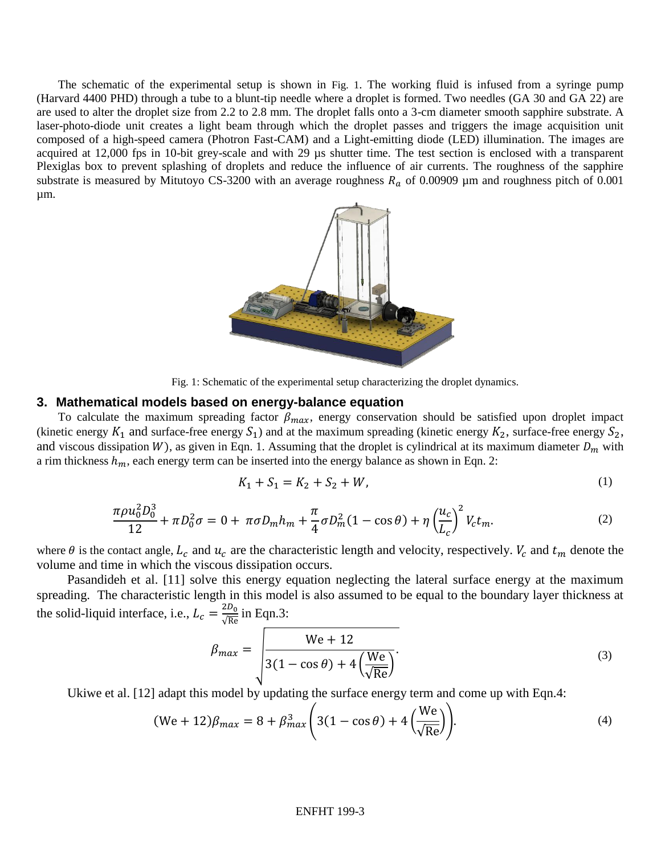The schematic of the experimental setup is shown in [Fig. 1](#page-2-0). The working fluid is infused from a syringe pump (Harvard 4400 PHD) through a tube to a blunt-tip needle where a droplet is formed. Two needles (GA 30 and GA 22) are are used to alter the droplet size from 2.2 to 2.8 mm. The droplet falls onto a 3-cm diameter smooth sapphire substrate. A laser-photo-diode unit creates a light beam through which the droplet passes and triggers the image acquisition unit composed of a high-speed camera (Photron Fast-CAM) and a Light-emitting diode (LED) illumination. The images are acquired at 12,000 fps in 10-bit grey-scale and with 29 µs shutter time. The test section is enclosed with a transparent Plexiglas box to prevent splashing of droplets and reduce the influence of air currents. The roughness of the sapphire substrate is measured by Mitutoyo CS-3200 with an average roughness  $R_a$  of 0.00909 µm and roughness pitch of 0.001 µm.



Fig. 1: Schematic of the experimental setup characterizing the droplet dynamics.

#### <span id="page-2-0"></span>**3. Mathematical models based on energy-balance equation**

To calculate the maximum spreading factor  $\beta_{max}$ , energy conservation should be satisfied upon droplet impact (kinetic energy  $K_1$  and surface-free energy  $S_1$ ) and at the maximum spreading (kinetic energy  $K_2$ , surface-free energy  $S_2$ , and viscous dissipation W), as given in Eqn. 1. Assuming that the droplet is cylindrical at its maximum diameter  $D_m$  with a rim thickness  $h_m$ , each energy term can be inserted into the energy balance as shown in Eqn. 2:

$$
K_1 + S_1 = K_2 + S_2 + W,\tag{1}
$$

$$
\frac{\pi \rho u_0^2 D_0^3}{12} + \pi D_0^2 \sigma = 0 + \pi \sigma D_m h_m + \frac{\pi}{4} \sigma D_m^2 (1 - \cos \theta) + \eta \left(\frac{u_c}{L_c}\right)^2 V_c t_m. \tag{2}
$$

where  $\theta$  is the contact angle,  $L_c$  and  $u_c$  are the characteristic length and velocity, respectively.  $V_c$  and  $t_m$  denote the volume and time in which the viscous dissipation occurs.

Pasandideh et al. [11] solve this energy equation neglecting the lateral surface energy at the maximum spreading. The characteristic length in this model is also assumed to be equal to the boundary layer thickness at the solid-liquid interface, i.e.,  $L_c = \frac{2}{l}$  $rac{2D_0}{\sqrt{\text{Re}}}$  in Eqn.3:

$$
\beta_{max} = \sqrt{\frac{We + 12}{3(1 - \cos \theta) + 4\left(\frac{We}{\sqrt{Re}}\right)}}.
$$
\n(3)

Ukiwe et al. [12] adapt this model by updating the surface energy term and come up with Eqn.4:

$$
(\text{We} + 12)\beta_{\text{max}} = 8 + \beta_{\text{max}}^3 \left(3(1 - \cos\theta) + 4\left(\frac{\text{We}}{\sqrt{\text{Re}}}\right)\right).
$$
\n<sup>(4)</sup>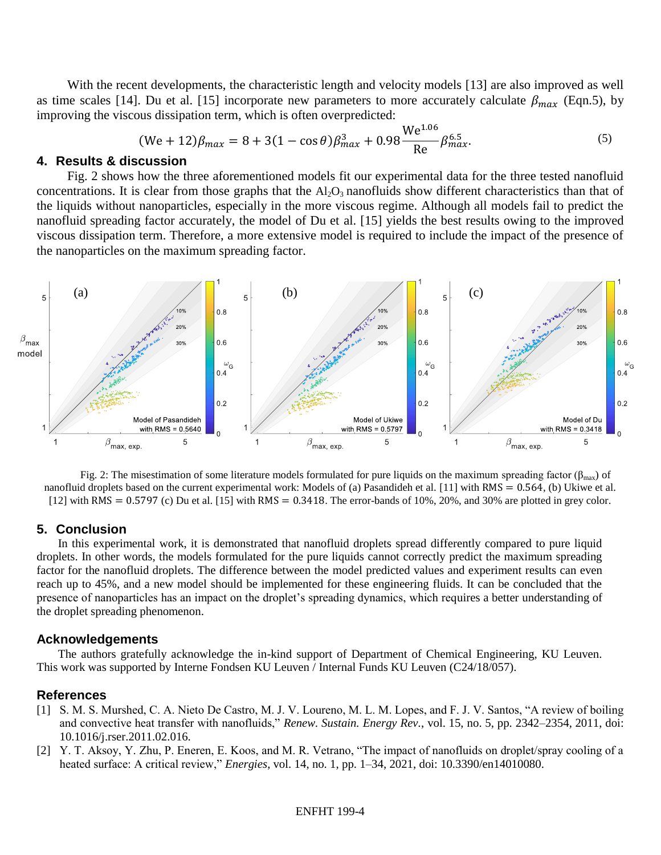With the recent developments, the characteristic length and velocity models [13] are also improved as well as time scales [14]. Du et al. [15] incorporate new parameters to more accurately calculate  $\beta_{max}$  (Eqn.5), by improving the viscous dissipation term, which is often overpredicted:

$$
(We + 12)\beta_{max} = 8 + 3(1 - \cos\theta)\beta_{max}^3 + 0.98\frac{We^{1.06}}{Re}\beta_{max}^{6.5}.
$$
 (5)

# **4. Results & discussion**

Fig. 2 shows how the three aforementioned models fit our experimental data for the three tested nanofluid concentrations. It is clear from those graphs that the  $A<sub>1</sub>, O<sub>3</sub>$  nanofluids show different characteristics than that of the liquids without nanoparticles, especially in the more viscous regime. Although all models fail to predict the nanofluid spreading factor accurately, the model of Du et al. [15] yields the best results owing to the improved viscous dissipation term. Therefore, a more extensive model is required to include the impact of the presence of the nanoparticles on the maximum spreading factor.



Fig. 2: The misestimation of some literature models formulated for pure liquids on the maximum spreading factor ( $\beta_{\text{max}}$ ) of nanofluid droplets based on the current experimental work: Models of (a) Pasandideh et al.  $[11]$  with RMS = 0.564, (b) Ukiwe et al.  $[12]$  with RMS = 0.5797 (c) Du et al. [15] with RMS = 0.3418. The error-bands of 10%, 20%, and 30% are plotted in grey color.

# **5. Conclusion**

In this experimental work, it is demonstrated that nanofluid droplets spread differently compared to pure liquid droplets. In other words, the models formulated for the pure liquids cannot correctly predict the maximum spreading factor for the nanofluid droplets. The difference between the model predicted values and experiment results can even reach up to 45%, and a new model should be implemented for these engineering fluids. It can be concluded that the presence of nanoparticles has an impact on the droplet's spreading dynamics, which requires a better understanding of the droplet spreading phenomenon.

## **Acknowledgements**

The authors gratefully acknowledge the in-kind support of Department of Chemical Engineering, KU Leuven. This work was supported by Interne Fondsen KU Leuven / Internal Funds KU Leuven (C24/18/057).

## **References**

- [1] S. M. S. Murshed, C. A. Nieto De Castro, M. J. V. Loureno, M. L. M. Lopes, and F. J. V. Santos, "A review of boiling and convective heat transfer with nanofluids," *Renew. Sustain. Energy Rev.*, vol. 15, no. 5, pp. 2342–2354, 2011, doi: 10.1016/j.rser.2011.02.016.
- [2] Y. T. Aksoy, Y. Zhu, P. Eneren, E. Koos, and M. R. Vetrano, "The impact of nanofluids on droplet/spray cooling of a heated surface: A critical review," *Energies*, vol. 14, no. 1, pp. 1–34, 2021, doi: 10.3390/en14010080.